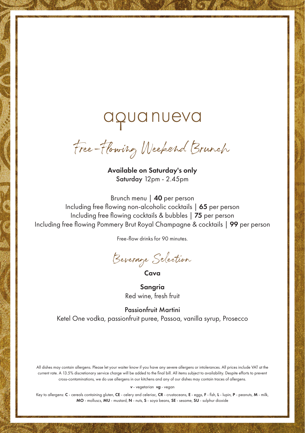## aquanueva

Free-Flowing Weekend Brunch

Available on Saturday's only Saturday 12pm - 2.45pm

Brunch menu | 40 per person Including free flowing non-alcoholic cocktails | 65 per person Including free flowing cocktails & bubbles | 75 per person Including free flowing Pommery Brut Royal Champagne & cocktails | 99 per person

Free-flow drinks for 90 minutes.

Beverage Selection

Cava

Sangria Red wine, fresh fruit

Passionfruit Martini Ketel One vodka, passionfruit puree, Passoa, vanilla syrup, Prosecco

All dishes may contain allergens. Please let your waiter know if you have any severe allergens or intolerances. All prices include VAT at the current rate. A 13.5% discretionary service charge will be added to the final bill. All items subject to availability. Despite efforts to prevent cross-contaminations, we do use allergens in our kitchens and any of our dishes may contain traces of allergens.

*v* - vegetarian *vg* - vegan

Key to allergens: C - cereals containing gluten, CE - celery and celeriac, CR - crustaceans, E - eggs, F - fish, L - lupin, P - peanuts, M - milk, MO - molluscs, MU - mustard, N - nuts, S - soya beans, SE - sesame, SU - sulphur dioxide